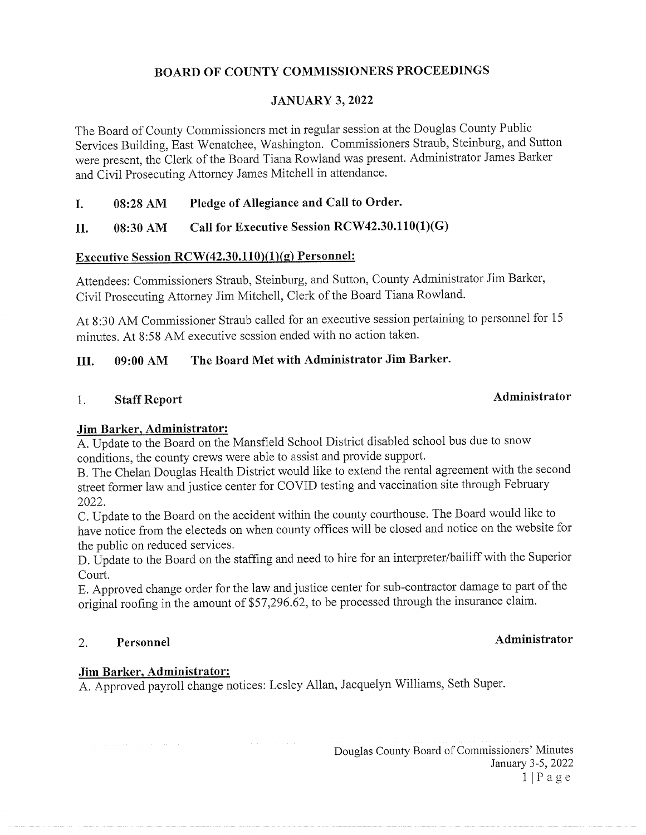## BOARD OF COUNTY COMMISSIONERS PROCEEDINGS

### JANUARY 3, 2022

The Board of County Commissioners met in regular session at the Douglas County Public Services Building, East Wenatchee, Washington. Commissioners Straub, Steinburg, and Sutton were present, the Clerk of the Board Tiana Rowland was present. Administrator James Barker and Civil Prosecuting Attorney James Mitchell in attendance.

### I. 08:28 AM Pledge of Allegiance and Call to Order.

### II.  $08:30$  AM Call for Executive Session RCW42.30.110(1)(G)

### Executive Session RCW(42.30.110)(1)(g) Personnel:

Attendees: Commissioners Straub, Steinburg, and Sutton, County Administrator Jim Barker, Civil Prosecuting Attorney Jim Mitchell, Clerk of the Board Tiana Rowland.

At 8:30 AM Commissioner Straub called for an executive session pertaining to personnel for <sup>15</sup> minutes. At 8:58 AM executive session ended with no action taken.

### III. 09:00 AM The Board Met with Administrator Jim Barker.

# 1. Staff Report **Administrator**

### Jim Barker, Administrator:

A. Update to the Board on the Mansfield School District disabled school bus due to snow conditions, the county crews were able to assist and provide support.

B. The Chelan Douglas Health District would like to extend the rental agreement with the second street former law and justice center for COVID testing and vaccination site through February 2022.

C. Update to the Board on the accident within the county courthouse. The Board would like to have notice from the electeds on when county offices will be closed and notice on the website for the public on reduced services.

D. Update to the Board on the staffing and need to hire for an interpreter/bailiff with the Superior Court.

E. Approved change order for the law and justice center for sub-contractor damage to part of the original roofing in the amount of \$57,296.62, to be processed through the insurance claim.

### 2. Personnel and Administrator and Administrator

### Jim Barker, Administrator:

A. Approved payroll change notices: Lesley Allan, Jacquelyn Williams, Seth Super.

Douglas County Board of Commissioners' Minutes January 3-5, 2022  $1 | P a g e$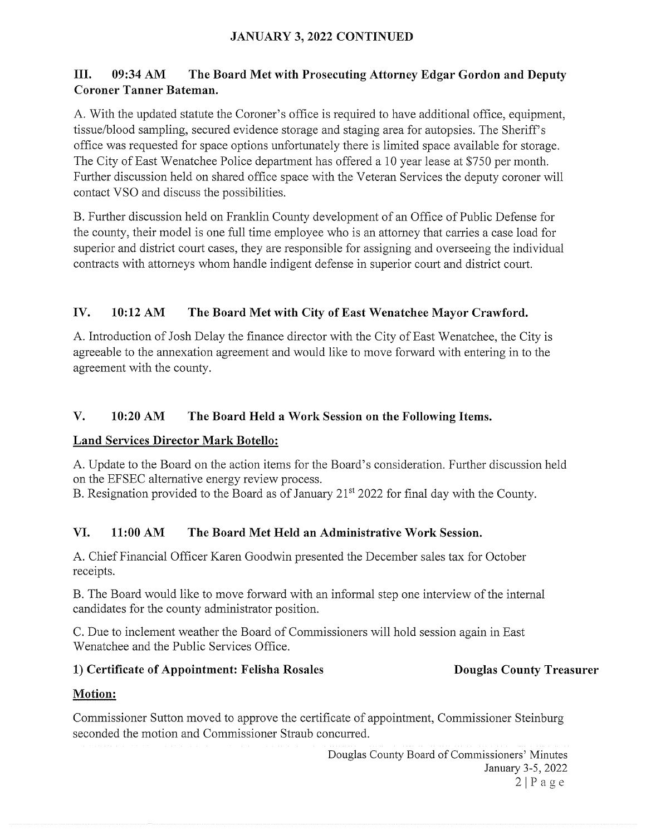## JANUARY 3, 2022 CONTINUED

## III. 09:34 AM The Board Met with Prosecuting Attorney Edgar Gordon and Deputy Coroner Tanner Bateman.

A. With the updated statute the Coroner's office is required to have additional office, equipment, tissue/blood sampling, secured evidence storage and staging area for autopsies. The Sheriff's office was requested for space options unfortunately there is limited space available for storage. The City of East Wenatchee Police department has offered <sup>a</sup> <sup>10</sup> year lease at \$750 per month. Further discussion held on shared office space with the Veteran Services the deputy coroner will contact VSO and discuss the possibilities.

B. Further discussion held on Franklin County development of an Office of Public Defense for the county, their model is one full time employee who is an attorney that carries <sup>a</sup> case load for superior and district court cases, they are responsible for assigning and overseeing the individual contracts with attorneys whom handle indigent defense in superior court and district court.

### IV. 10:12 AM The Board Met with City of East Wenatchee Mayor Crawford.

A. Introduction of Josh Delay the finance director with the City of East Wenatchee, the City is agreeable to the annexation agreement and would like to move forward with entering in to the agreement with the county.

## V. 10:20 AM The Board Held <sup>a</sup> Work Session on the Following Items.

### Land Services Director Mark Botello:

A. Update to the Board on the action items for the Board's consideration. Further discussion held on the EFSEC alternative energy review process.

B. Resignation provided to the Board as of January  $21<sup>st</sup> 2022$  for final day with the County.

### VI. 11:00 AM The Board Met Held an Administrative Work Session.

A. Chief Financial Officer Karen Goodwin presented the December sales tax for October receipts.

B. The Board would like to move forward with an informal step one interview of the internal candidates for the county administrator position.

C. Due to inclement weather the Board of Commissioners will hold session again in East Wenatchee and the Public Services Office.

### 1) Certificate of Appointment: Felisha Rosales Douglas County Treasurer

## Motion:

Commissioner Sutton moved to approve the certificate of appointment, Commissioner Steinburg seconded the motion and Commissioner Straub concurred.

> Douglas County Board of Commissioners' Minutes January 3-5, 2022  $2|P$ age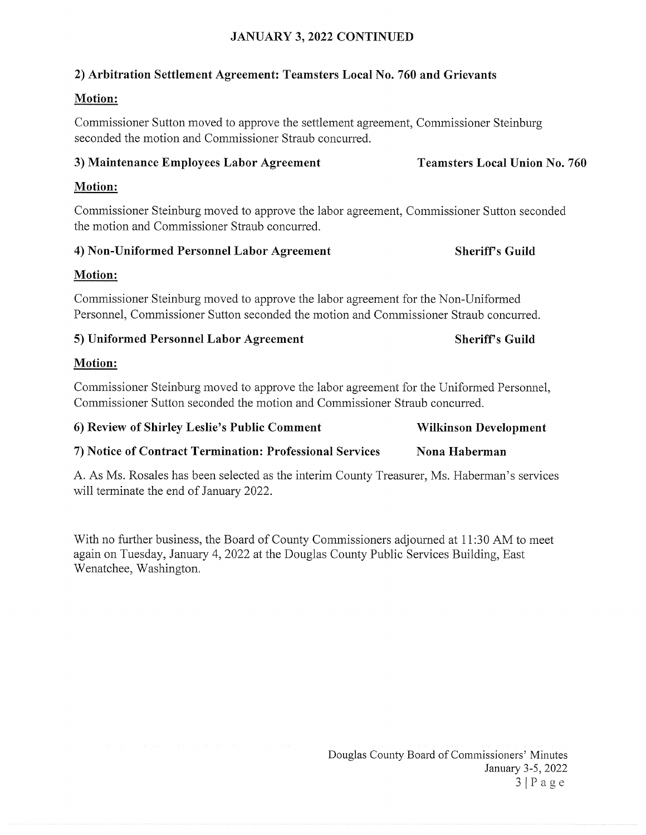## JANUARY 3, 2022 CONTINUED

## 2) Arbitration Settlement Agreement: Teamsters Local No. 760 and Grievants

# Motion:

Commissioner Sutton moved to approve the settlement agreement, Commissioner Steinburg seconded the motion and Commissioner Straub concurred.

## 3) Maintenance Employees Labor Agreement Teamsters Local Union No. 760

## Motion:

Commissioner Steinburg moved to approve the labor agreement, Commissioner Sutton seconded the motion and Commissioner Straub concurred.

# 4) Non-Uniformed Personnel Labor Agreement Sheriff's Guild

# Motion:

Commissioner Steinburg moved to approve the labor agreement for the Non-Uniformed Personnel, Commissioner Sutton seconded the motion and Commissioner Straub concurred.

# 5) Uniformed Personnel Labor Agreement Sheriff's Guild

# Motion:

Commissioner Steinburg moved to approve the labor agreement for the Uniformed Personnel, Commissioner Sutton seconded the motion and Commissioner Straub concurred.

| 6) Review of Shirley Leslie's Public Comment | <b>Wilkinson Development</b> |
|----------------------------------------------|------------------------------|
|----------------------------------------------|------------------------------|

# 7) Notice of Contract Termination: Professional Services Nona Haberman

A. As Ms. Rosales has been selected as the interim County Treasurer, Ms. Haberman's services will terminate the end of January 2022.

With no further business, the Board of County Commissioners adjourned at 11:30 AM to meet again on Tuesday, January 4, 2022 at the Douglas County Public Services Building, East Wenatchee, Washington.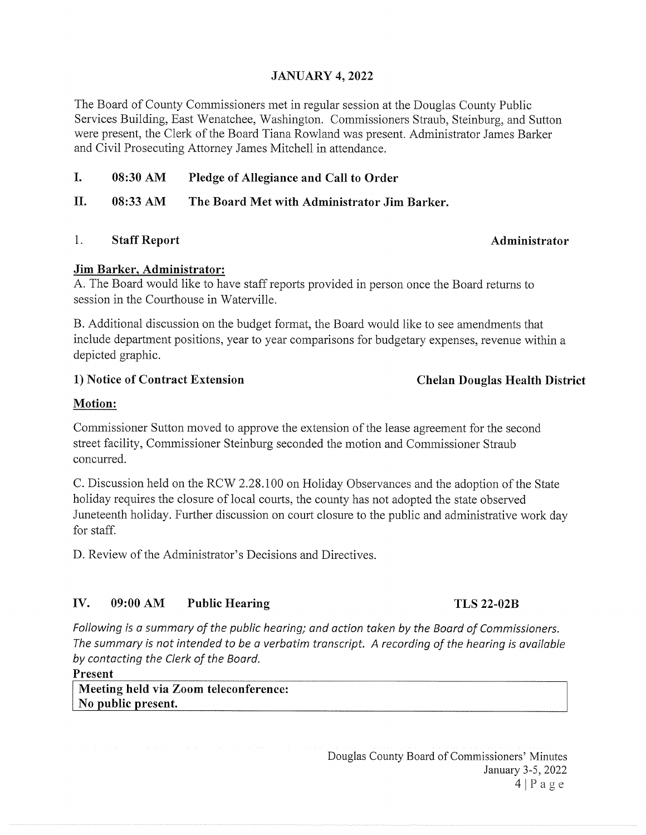### JANUARY 4, 2022

The Board of County Commissioners met in regular session at the Douglas County Public Services Building, East Wenatchee, Washington. Commissioners Straub, Steinburg, and Sutton were present, the Clerk of the Board Tiana Rowland was present. Administrator James Barker and Civil Prosecuting Attorney James Mitchell in attendance.

I. 08:30 AM Pledge of Allegiance and Call to Order

II. 08:33 AM The Board Met with Administrator Jim Barker.

1. Staff Report **Administrator** Administrator

### Jim Barker, Administrator:

A. The Board would like to have staff reports provided in person once the Board returns to session in the Courthouse in Waterville.

B. Additional discussion on the budget format, the Board would like to see amendments that include department positions, year to year comparisons for budgetary expenses, revenue within a depicted graphic.

### 1) Notice of Contract Extension Chelan Douglas Health District

### Motion:

Commissioner Sutton moved to approve the extension of the lease agreement for the second street facility, Commissioner Steinburg seconded the motion and Commissioner Straub concurred.

C. Discussion held on the RCW 2.28.100 on Holiday Observances and the adoption of the State holiday requires the closure of local courts, the county has not adopted the state observed Juneteenth holiday. Further discussion on court closure to the public and administrative work day for staff.

D. Review of the Administrator's Decisions and Directives.

### IV. 09:00 AM Public Hearing TLS 22-02B

Following is a summary of the public hearing; and action taken by the Board of Commissioners. The summary is not intended to be a verbatim transcript. A recording of the hearing is available by contacting the Clerk of the Board.

Present

Meeting held via Zoom teleconference: No public present.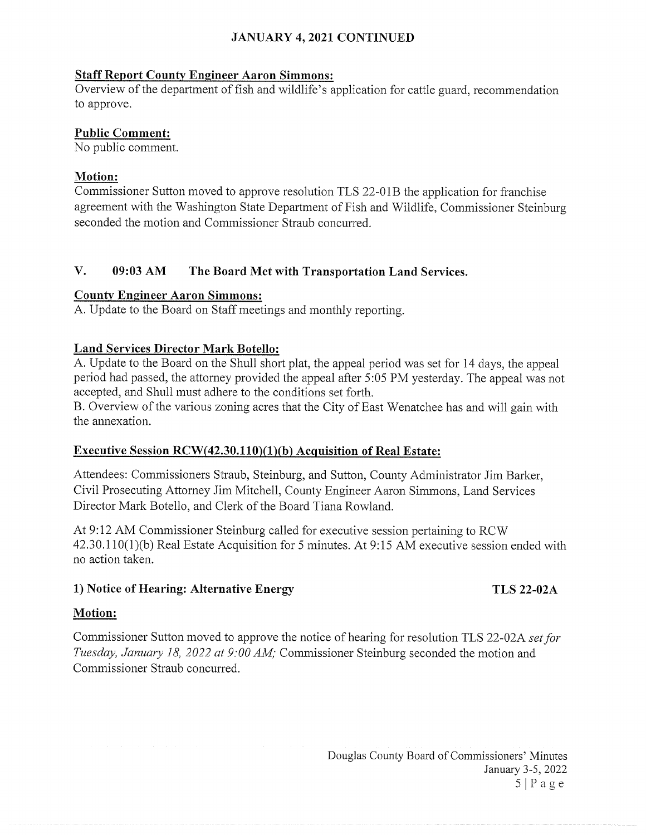## JANUARY 4, 2021 CONTINUED

### Staff Report County Engineer Aaron Simmons:

Overview of the department of fish and wildlife's application for cattle guard, recommendation to approve.

### Public Comment:

No public comment.

### Motion:

Commissioner Sutton moved to approve resolution TLS 22-01B the application for franchise agreement with the Washington State Department of Fish and Wildlife, Commissioner Steinburg seconded the motion and Commissioner Straub concurred.

## V. 09:03 AM The Board Met with Transportation Land Services.

### County Engineer Aaron Simmons:

A. Update to the Board on Staff meetings and monthly reporting.

### Land Services Director Mark Botello:

A. Update to the Board on the Shull short plat, the appeal period was set for 14 days, the appeal period had passed, the attorney provided the appeal after 5:05 PM yesterday. The appeal was not accepted, and Shull must adhere to the conditions set forth.

B. Overview of the various zoning acres that the City of East Wenatchee has and will gain with the annexation.

### Executive Session RCW(42.30.110)(1)(b) Acquisition of Real Estate:

Attendees: Commissioners Straub, Steinburg, and Sutton, County Administrator Jim Barker, Civil Prosecuting Attorney Jim Mitchell, County Engineer Aaron Simmons, Land Services Director Mark Botello, and Clerk of the Board Tiana Rowland.

At 9:12 AM Commissioner Steinburg called for executive session pertaining to RCW 42.30.1 10(1)(b) Real Estate Acquisition for <sup>5</sup> minutes. At 9:15 AM executive session ended with no action taken.

### 1) Notice of Hearing: Alternative Energy TLS 22-02A

### Motion:

Commissioner Sutton moved to approve the notice of hearing for resolution TLS 22-02A set for Tuesday, January 18, 2022 at 9:00 AM; Commissioner Steinburg seconded the motion and Commissioner Straub concurred.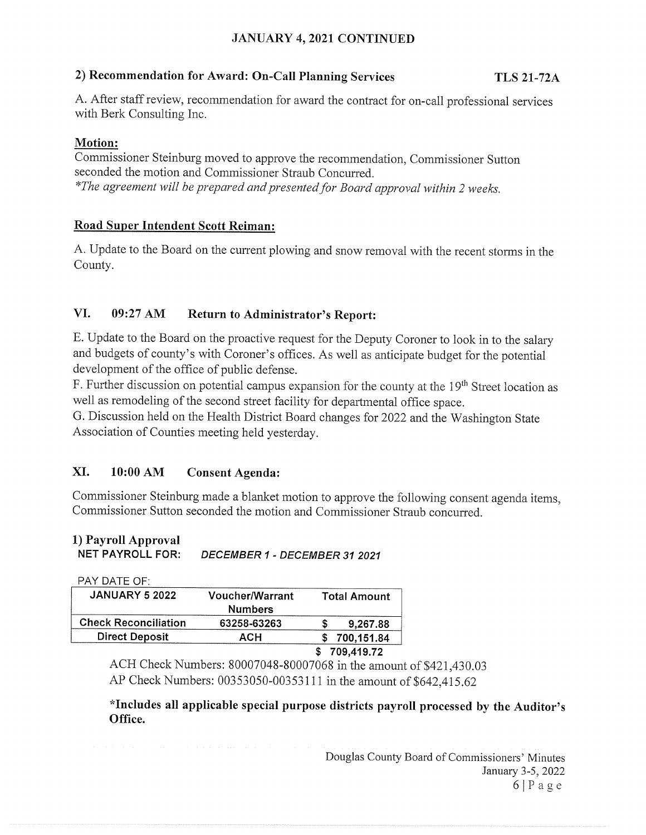## JANUARY 4, 2021 CONTINUED

### 2) Recommendation for Award: On-Call Planning Services TLS 21-72A

A. After staff review, recommendation for award the contract for on-call professional services with Berk Consulting Inc.

## Motion:

Commissioner Steinburg moved to approve the recommendation, Commissioner Sutton seconded the motion and Commissioner Straub Concurred. \*The agreement will be prepared and presented for Board approval within 2 weeks.

## Road Super Intendent Scott Reiman:

A. Update to the Board on the current plowing and snow removal with the recent storms in the County.

## VI. 09:27 AM Return to Administrator's Report:

E. Update to the Board on the proactive request for the Deputy Coroner to look in to the salary and budgets of county's with Coroner's offices. As well as anticipate budget for the potential development of the office of public defense.

F. Further discussion on potential campus expansion for the county at the 19<sup>th</sup> Street location as well as remodeling of the second street facility for departmental office space.

G. Discussion held on the Health District Board changes for 2022 and the Washington State Association of Counties meeting held yesterday.

## XI. 10:00 AM Consent Agenda:

Commissioner Steinburg made a blanket motion to approve the following consent agenda items, Commissioner Sutton seconded the motion and Commissioner Straub concurred.

## 1) Payroll Approval NET PAYROLL FOR: DECEMBER <sup>1</sup> - DECEMBER 31 2021

| PAY DATE OF:                |                                          |                     |
|-----------------------------|------------------------------------------|---------------------|
| <b>JANUARY 5 2022</b>       | <b>Voucher/Warrant</b><br><b>Numbers</b> | <b>Total Amount</b> |
| <b>Check Reconciliation</b> | 63258-63263                              | 9,267.88            |
| <b>Direct Deposit</b>       | АСН                                      | 700,151.84          |
|                             |                                          | 709,419.72          |

ACH Check Numbers: 80007048-80007068 in the amount of \$421,430.03 AP Check Numbers: 00353050-00353111 in the amount of \$642,415.62

\*Includes all applicable special purpose districts payroll processed by the Auditor's Office.

> Douglas County Board of Commissioners' Minutes January 3-5, 2022 6IPage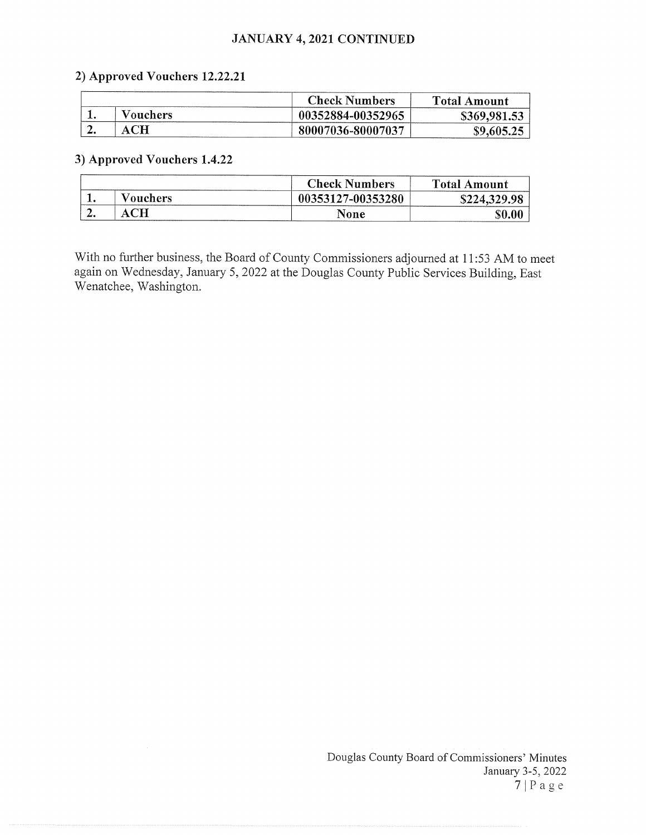### JANUARY 4, 2021 CONTINUED

### 2) Approved Vouchers 12.22.21

|    |           | <b>Check Numbers</b> | <b>Total Amount</b> |
|----|-----------|----------------------|---------------------|
|    | Vouchers: | 00352884-00352965    | \$369,981.53        |
| ٠. |           | 80007036-80007037    | \$9.605.25          |

### 3) Approved Vouchers 1.4.22

|     |                 | <b>Check Numbers</b> | <b>Total Amount</b> |
|-----|-----------------|----------------------|---------------------|
| . . | <b>Vouchers</b> | 00353127-00353280    | \$224,329.98        |
| ، ت |                 | None                 |                     |

With no further business, the Board of County Commissioners adjourned at 11:53 AM to meet again on Wednesday, January 5, 2022 at the Douglas County Public Services Building, East Wenatchee, Washington.